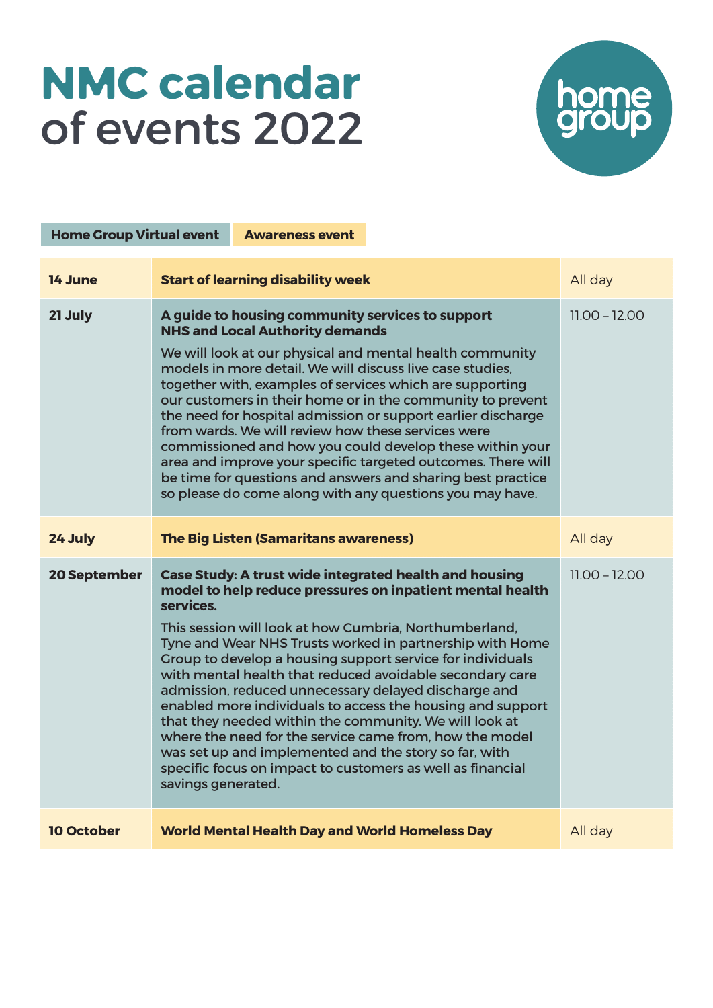## NMC calendar of events 2022



| <b>Home Group Virtual event</b> |                                                                                                                                                                                                                                                                                                                                                                                                                                                                                                                                                                                                                                                                                                                                                                                 | <b>Awareness event</b>                                |                 |                 |
|---------------------------------|---------------------------------------------------------------------------------------------------------------------------------------------------------------------------------------------------------------------------------------------------------------------------------------------------------------------------------------------------------------------------------------------------------------------------------------------------------------------------------------------------------------------------------------------------------------------------------------------------------------------------------------------------------------------------------------------------------------------------------------------------------------------------------|-------------------------------------------------------|-----------------|-----------------|
| 14 June                         | <b>Start of learning disability week</b>                                                                                                                                                                                                                                                                                                                                                                                                                                                                                                                                                                                                                                                                                                                                        |                                                       |                 | All day         |
| 21 July                         | A guide to housing community services to support<br><b>NHS and Local Authority demands</b><br>We will look at our physical and mental health community<br>models in more detail. We will discuss live case studies.<br>together with, examples of services which are supporting<br>our customers in their home or in the community to prevent<br>the need for hospital admission or support earlier discharge<br>from wards. We will review how these services were<br>commissioned and how you could develop these within your<br>area and improve your specific targeted outcomes. There will<br>be time for questions and answers and sharing best practice<br>so please do come along with any questions you may have.                                                      |                                                       |                 | $11.00 - 12.00$ |
| 24 July                         | <b>The Big Listen (Samaritans awareness)</b>                                                                                                                                                                                                                                                                                                                                                                                                                                                                                                                                                                                                                                                                                                                                    |                                                       |                 | All day         |
| <b>20 September</b>             | <b>Case Study: A trust wide integrated health and housing</b><br>model to help reduce pressures on inpatient mental health<br>services.<br>This session will look at how Cumbria, Northumberland,<br>Tyne and Wear NHS Trusts worked in partnership with Home<br>Group to develop a housing support service for individuals<br>with mental health that reduced avoidable secondary care<br>admission, reduced unnecessary delayed discharge and<br>enabled more individuals to access the housing and support<br>that they needed within the community. We will look at<br>where the need for the service came from, how the model<br>was set up and implemented and the story so far, with<br>specific focus on impact to customers as well as financial<br>savings generated. |                                                       | $11.00 - 12.00$ |                 |
| <b>10 October</b>               |                                                                                                                                                                                                                                                                                                                                                                                                                                                                                                                                                                                                                                                                                                                                                                                 | <b>World Mental Health Day and World Homeless Day</b> |                 | All day         |